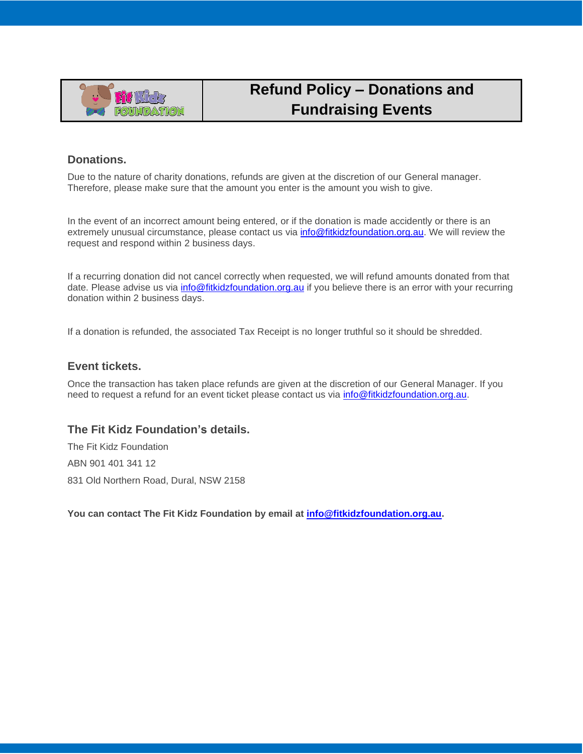

## **Refund Policy – Donations and Fundraising Events**

## **Donations.**

Due to the nature of charity donations, refunds are given at the discretion of our General manager. Therefore, please make sure that the amount you enter is the amount you wish to give.

In the event of an incorrect amount being entered, or if the donation is made accidently or there is an extremely unusual circumstance, please contact us via [info@fitkidzfoundation.org.au.](mailto:info@fitkidzfoundation.org.au) We will review the request and respond within 2 business days.

If a recurring donation did not cancel correctly when requested, we will refund amounts donated from that date. Please advise us via *info@fitkidzfoundation.org.au* if you believe there is an error with your recurring donation within 2 business days.

If a donation is refunded, the associated Tax Receipt is no longer truthful so it should be shredded.

## **Event tickets.**

Once the transaction has taken place refunds are given at the discretion of our General Manager. If you need to request a refund for an event ticket please contact us via [info@fitkidzfoundation.org.au.](mailto:info@fitkidzfoundation.org.au)

## **The Fit Kidz Foundation's details.**

The Fit Kidz Foundation ABN 901 401 341 12 831 Old Northern Road, Dural, NSW 2158

**You can contact The Fit Kidz Foundation by email at [info@fitkidzfoundation.org.au.](mailto:info@fitkidzfoundation.org.au)**